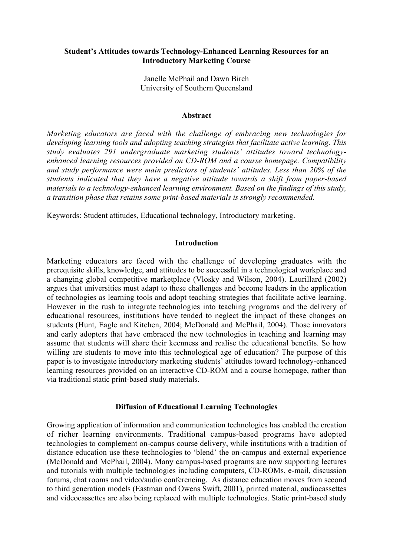# Student's Attitudes towards Technology-Enhanced Learning Resources for an Introductory Marketing Course

Janelle McPhail and Dawn Birch University of Southern Queensland

#### Abstract

*Marketing educators are faced with the challenge of embracing new technologies for developing learning tools and adopting teaching strategies that facilitate active learning. This study evaluates 291 undergraduate marketing students' attitudes toward technologyenhanced learning resources provided on CD-ROM and a course homepage. Compatibility and study performance were main predictors of students' attitudes. Less than 20% of the students indicated that they have a negative attitude towards a shift from paper-based materials to a technology-enhanced learning environment. Based on the findings of this study, a transition phase that retains some print-based materials is strongly recommended.*

Keywords: Student attitudes, Educational technology, Introductory marketing.

#### **Introduction**

Marketing educators are faced with the challenge of developing graduates with the prerequisite skills, knowledge, and attitudes to be successful in a technological workplace and a changing global competitive marketplace (Vlosky and Wilson, 2004). Laurillard (2002) argues that universities must adapt to these challenges and become leaders in the application of technologies as learning tools and adopt teaching strategies that facilitate active learning. However in the rush to integrate technologies into teaching programs and the delivery of educational resources, institutions have tended to neglect the impact of these changes on students (Hunt, Eagle and Kitchen, 2004; McDonald and McPhail, 2004). Those innovators and early adopters that have embraced the new technologies in teaching and learning may assume that students will share their keenness and realise the educational benefits. So how willing are students to move into this technological age of education? The purpose of this paper is to investigate introductory marketing students' attitudes toward technology-enhanced learning resources provided on an interactive CD-ROM and a course homepage, rather than via traditional static print-based study materials.

## Diffusion of Educational Learning Technologies

Growing application of information and communication technologies has enabled the creation of richer learning environments. Traditional campus-based programs have adopted technologies to complement on-campus course delivery, while institutions with a tradition of distance education use these technologies to 'blend' the on-campus and external experience (McDonald and McPhail, 2004). Many campus-based programs are now supporting lectures and tutorials with multiple technologies including computers, CD-ROMs, e-mail, discussion forums, chat rooms and video/audio conferencing. As distance education moves from second to third generation models (Eastman and Owens Swift, 2001), printed material, audiocassettes and videocassettes are also being replaced with multiple technologies. Static print-based study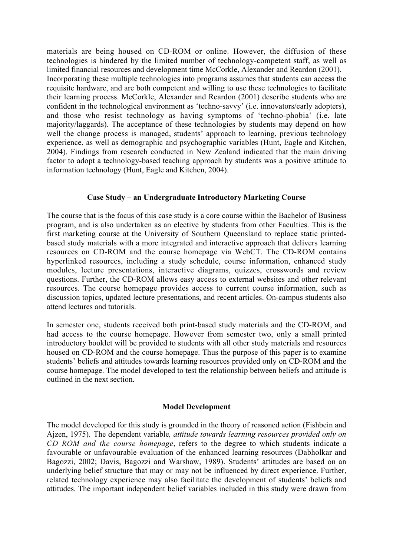materials are being housed on CD-ROM or online. However, the diffusion of these technologies is hindered by the limited number of technology-competent staff, as well as limited financial resources and development time McCorkle, Alexander and Reardon (2001). Incorporating these multiple technologies into programs assumes that students can access the requisite hardware, and are both competent and willing to use these technologies to facilitate their learning process. McCorkle, Alexander and Reardon (2001) describe students who are confident in the technological environment as 'techno-savvy' (i.e. innovators/early adopters), and those who resist technology as having symptoms of 'techno-phobia' (i.e. late majority/laggards). The acceptance of these technologies by students may depend on how well the change process is managed, students' approach to learning, previous technology experience, as well as demographic and psychographic variables (Hunt, Eagle and Kitchen, 2004). Findings from research conducted in New Zealand indicated that the main driving factor to adopt a technology-based teaching approach by students was a positive attitude to information technology (Hunt, Eagle and Kitchen, 2004).

## Case Study – an Undergraduate Introductory Marketing Course

The course that is the focus of this case study is a core course within the Bachelor of Business program, and is also undertaken as an elective by students from other Faculties. This is the first marketing course at the University of Southern Queensland to replace static printedbased study materials with a more integrated and interactive approach that delivers learning resources on CD-ROM and the course homepage via WebCT. The CD-ROM contains hyperlinked resources, including a study schedule, course information, enhanced study modules, lecture presentations, interactive diagrams, quizzes, crosswords and review questions. Further, the CD-ROM allows easy access to external websites and other relevant resources. The course homepage provides access to current course information, such as discussion topics, updated lecture presentations, and recent articles. On-campus students also attend lectures and tutorials.

In semester one, students received both print-based study materials and the CD-ROM, and had access to the course homepage. However from semester two, only a small printed introductory booklet will be provided to students with all other study materials and resources housed on CD-ROM and the course homepage. Thus the purpose of this paper is to examine students' beliefs and attitudes towards learning resources provided only on CD-ROM and the course homepage. The model developed to test the relationship between beliefs and attitude is outlined in the next section.

## Model Development

The model developed for this study is grounded in the theory of reasoned action (Fishbein and Ajzen, 1975). The dependent variable*, attitude towards learning resources provided only on CD ROM and the course homepage*, refers to the degree to which students indicate a favourable or unfavourable evaluation of the enhanced learning resources (Dabholkar and Bagozzi, 2002; Davis, Bagozzi and Warshaw, 1989). Students' attitudes are based on an underlying belief structure that may or may not be influenced by direct experience. Further, related technology experience may also facilitate the development of students' beliefs and attitudes. The important independent belief variables included in this study were drawn from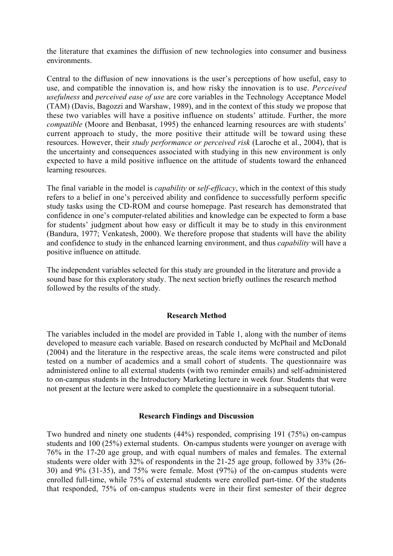the literature that examines the diffusion of new technologies into consumer and business environments.

Central to the diffusion of new innovations is the user's perceptions of how useful, easy to use, and compatible the innovation is, and how risky the innovation is to use. *Perceived usefulness* and *perceived ease of use* are core variables in the Technology Acceptance Model (TAM) (Davis, Bagozzi and Warshaw, 1989), and in the context of this study we propose that these two variables will have a positive influence on students' attitude. Further, the more *compatible* (Moore and Benbasat, 1995) the enhanced learning resources are with students' current approach to study, the more positive their attitude will be toward using these resources. However, their *study performance or perceived risk* (Laroche et al., 2004), that is the uncertainty and consequences associated with studying in this new environment is only expected to have a mild positive influence on the attitude of students toward the enhanced learning resources.

The final variable in the model is *capability* or *self-efficacy*, which in the context of this study refers to a belief in one's perceived ability and confidence to successfully perform specific study tasks using the CD-ROM and course homepage. Past research has demonstrated that confidence in one's computer-related abilities and knowledge can be expected to form a base for students' judgment about how easy or difficult it may be to study in this environment (Bandura, 1977; Venkatesh, 2000). We therefore propose that students will have the ability and confidence to study in the enhanced learning environment, and thus *capability* will have a positive influence on attitude.

The independent variables selected for this study are grounded in the literature and provide a sound base for this exploratory study. The next section briefly outlines the research method followed by the results of the study.

## Research Method

The variables included in the model are provided in Table 1, along with the number of items developed to measure each variable. Based on research conducted by McPhail and McDonald (2004) and the literature in the respective areas, the scale items were constructed and pilot tested on a number of academics and a small cohort of students. The questionnaire was administered online to all external students (with two reminder emails) and self-administered to on-campus students in the Introductory Marketing lecture in week four. Students that were not present at the lecture were asked to complete the questionnaire in a subsequent tutorial.

#### Research Findings and Discussion

Two hundred and ninety one students (44%) responded, comprising 191 (75%) on-campus students and 100 (25%) external students. On-campus students were younger on average with 76% in the 17-20 age group, and with equal numbers of males and females. The external students were older with 32% of respondents in the 21-25 age group, followed by 33% (26- 30) and 9% (31-35), and 75% were female. Most (97%) of the on-campus students were enrolled full-time, while 75% of external students were enrolled part-time. Of the students that responded, 75% of on-campus students were in their first semester of their degree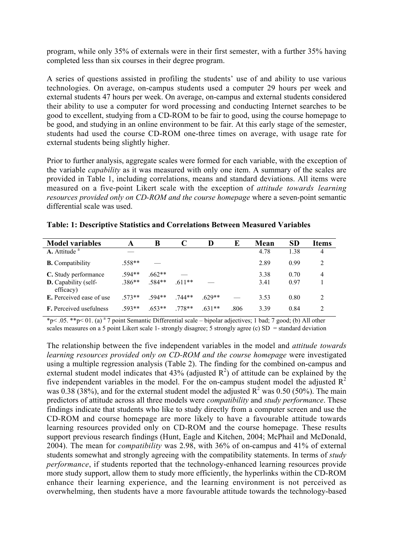program, while only 35% of externals were in their first semester, with a further 35% having completed less than six courses in their degree program.

A series of questions assisted in profiling the students' use of and ability to use various technologies. On average, on-campus students used a computer 29 hours per week and external students 47 hours per week. On average, on-campus and external students considered their ability to use a computer for word processing and conducting Internet searches to be good to excellent, studying from a CD-ROM to be fair to good, using the course homepage to be good, and studying in an online environment to be fair. At this early stage of the semester, students had used the course CD-ROM one-three times on average, with usage rate for external students being slightly higher.

Prior to further analysis, aggregate scales were formed for each variable, with the exception of the variable *capability* as it was measured with only one item. A summary of the scales are provided in Table 1, including correlations, means and standard deviations. All items were measured on a five-point Likert scale with the exception of *attitude towards learning resources provided only on CD-ROM and the course homepage* where a seven-point semantic differential scale was used.

| <b>Model variables</b>                   | A        | B        |          | D        | E    | Mean | <b>SD</b> | <b>Items</b>  |
|------------------------------------------|----------|----------|----------|----------|------|------|-----------|---------------|
| $A.$ Attitude $a$                        |          |          |          |          |      | 4.78 | 1.38      | 4             |
| <b>B.</b> Compatibility                  | $.558**$ |          |          |          |      | 2.89 | 0.99      | 2             |
| C. Study performance                     | 594**    | $.662**$ |          |          |      | 3.38 | 0.70      | 4             |
| <b>D.</b> Capability (self-<br>efficacy) | $.386**$ | .584**   | $.611**$ |          |      | 3.41 | 0.97      |               |
| <b>E.</b> Perceived ease of use          | $573**$  | 594**    | 744**    | $.629**$ |      | 3.53 | 0.80      | 2             |
| <b>F.</b> Perceived usefulness           | 593**    | $.653**$ | 778**    | $.631**$ | .806 | 3.39 | 0.84      | $\mathcal{D}$ |

Table: 1: Descriptive Statistics and Correlations Between Measured Variables

\*p< .05. \*\*p< 01. (a) a 7 point Semantic Differential scale – bipolar adjectives; 1 bad; 7 good; (b) All other scales measures on a 5 point Likert scale 1- strongly disagree; 5 strongly agree (c) SD = standard deviation

The relationship between the five independent variables in the model and *attitude towards learning resources provided only on CD-ROM and the course homepage* were investigated using a multiple regression analysis (Table 2). The finding for the combined on-campus and external student model indicates that  $43\%$  (adjusted  $\mathbb{R}^2$ ) of attitude can be explained by the five independent variables in the model. For the on-campus student model the adjusted  $R^2$ was 0.38 (38%), and for the external student model the adjusted  $R^2$  was 0.50 (50%). The main predictors of attitude across all three models were *compatibility* and *study performance*. These findings indicate that students who like to study directly from a computer screen and use the CD-ROM and course homepage are more likely to have a favourable attitude towards learning resources provided only on CD-ROM and the course homepage. These results support previous research findings (Hunt, Eagle and Kitchen, 2004; McPhail and McDonald, 2004). The mean for *compatibility* was 2.98, with 36% of on-campus and 41% of external students somewhat and strongly agreeing with the compatibility statements. In terms of *study performance*, if students reported that the technology-enhanced learning resources provide more study support, allow them to study more efficiently, the hyperlinks within the CD-ROM enhance their learning experience, and the learning environment is not perceived as overwhelming, then students have a more favourable attitude towards the technology-based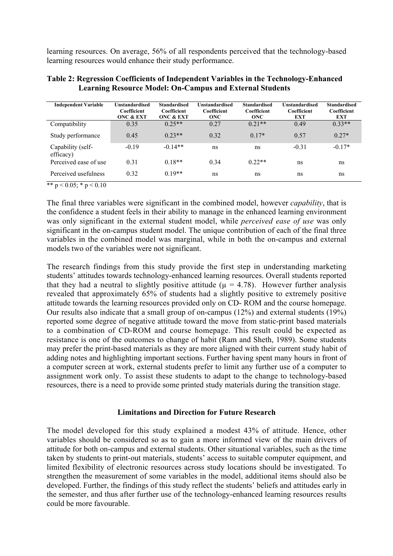learning resources. On average, 56% of all respondents perceived that the technology-based learning resources would enhance their study performance.

| <b>Independent Variable</b>    | <b>Unstandardised</b><br>Coefficient<br><b>ONC &amp; EXT</b> | <b>Standardised</b><br>Coefficient<br><b>ONC &amp; EXT</b> | Unstandardised<br>Coefficient<br><b>ONC</b> | <b>Standardised</b><br>Coefficient<br><b>ONC</b> | <b>Unstandardised</b><br>Coefficient<br><b>EXT</b> | <b>Standardised</b><br>Coefficient<br><b>EXT</b> |
|--------------------------------|--------------------------------------------------------------|------------------------------------------------------------|---------------------------------------------|--------------------------------------------------|----------------------------------------------------|--------------------------------------------------|
| Compatibility                  | 0.35                                                         | $0.25**$                                                   | 0.27                                        | $0.21**$                                         | 0.49                                               | $0.33**$                                         |
| Study performance              | 0.45                                                         | $0.23**$                                                   | 0.32                                        | $0.17*$                                          | 0.57                                               | $0.27*$                                          |
| Capability (self-<br>efficacy) | $-0.19$                                                      | $-0.14**$                                                  | ns                                          | ns                                               | $-0.31$                                            | $-0.17*$                                         |
| Perceived ease of use          | 0.31                                                         | $0.18**$                                                   | 0.34                                        | $0.22**$                                         | ns                                                 | ns                                               |
| Perceived usefulness           | 0.32                                                         | $0.19**$                                                   | ns                                          | ns                                               | ns                                                 | ns                                               |

| Table 2: Regression Coefficients of Independent Variables in the Technology-Enhanced |
|--------------------------------------------------------------------------------------|
| <b>Learning Resource Model: On-Campus and External Students</b>                      |

\*\*  $p < 0.05$ ; \*  $p < 0.10$ 

The final three variables were significant in the combined model, however *capability*, that is the confidence a student feels in their ability to manage in the enhanced learning environment was only significant in the external student model, while *perceived ease of use* was only significant in the on-campus student model. The unique contribution of each of the final three variables in the combined model was marginal, while in both the on-campus and external models two of the variables were not significant.

The research findings from this study provide the first step in understanding marketing students' attitudes towards technology-enhanced learning resources. Overall students reported that they had a neutral to slightly positive attitude ( $\mu = 4.78$ ). However further analysis revealed that approximately 65% of students had a slightly positive to extremely positive attitude towards the learning resources provided only on CD- ROM and the course homepage. Our results also indicate that a small group of on-campus (12%) and external students (19%) reported some degree of negative attitude toward the move from static-print based materials to a combination of CD-ROM and course homepage. This result could be expected as resistance is one of the outcomes to change of habit (Ram and Sheth, 1989). Some students may prefer the print-based materials as they are more aligned with their current study habit of adding notes and highlighting important sections. Further having spent many hours in front of a computer screen at work, external students prefer to limit any further use of a computer to assignment work only. To assist these students to adapt to the change to technology-based resources, there is a need to provide some printed study materials during the transition stage.

## Limitations and Direction for Future Research

The model developed for this study explained a modest 43% of attitude. Hence, other variables should be considered so as to gain a more informed view of the main drivers of attitude for both on-campus and external students. Other situational variables, such as the time taken by students to print-out materials, students' access to suitable computer equipment, and limited flexibility of electronic resources across study locations should be investigated. To strengthen the measurement of some variables in the model, additional items should also be developed. Further, the findings of this study reflect the students' beliefs and attitudes early in the semester, and thus after further use of the technology-enhanced learning resources results could be more favourable.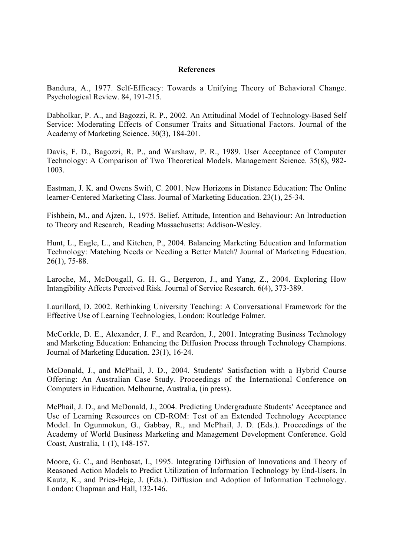#### **References**

Bandura, A., 1977. Self-Efficacy: Towards a Unifying Theory of Behavioral Change. Psychological Review. 84, 191-215.

Dabholkar, P. A., and Bagozzi, R. P., 2002. An Attitudinal Model of Technology-Based Self Service: Moderating Effects of Consumer Traits and Situational Factors. Journal of the Academy of Marketing Science. 30(3), 184-201.

Davis, F. D., Bagozzi, R. P., and Warshaw, P. R., 1989. User Acceptance of Computer Technology: A Comparison of Two Theoretical Models. Management Science. 35(8), 982- 1003.

Eastman, J. K. and Owens Swift, C. 2001. New Horizons in Distance Education: The Online learner-Centered Marketing Class. Journal of Marketing Education. 23(1), 25-34.

Fishbein, M., and Ajzen, I., 1975. Belief, Attitude, Intention and Behaviour: An Introduction to Theory and Research, Reading Massachusetts: Addison-Wesley.

Hunt, L., Eagle, L., and Kitchen, P., 2004. Balancing Marketing Education and Information Technology: Matching Needs or Needing a Better Match? Journal of Marketing Education. 26(1), 75-88.

Laroche, M., McDougall, G. H. G., Bergeron, J., and Yang, Z., 2004. Exploring How Intangibility Affects Perceived Risk. Journal of Service Research. 6(4), 373-389.

Laurillard, D. 2002. Rethinking University Teaching: A Conversational Framework for the Effective Use of Learning Technologies, London: Routledge Falmer.

McCorkle, D. E., Alexander, J. F., and Reardon, J., 2001. Integrating Business Technology and Marketing Education: Enhancing the Diffusion Process through Technology Champions. Journal of Marketing Education. 23(1), 16-24.

McDonald, J., and McPhail, J. D., 2004. Students' Satisfaction with a Hybrid Course Offering: An Australian Case Study. Proceedings of the International Conference on Computers in Education. Melbourne, Australia, (in press).

McPhail, J. D., and McDonald, J., 2004. Predicting Undergraduate Students' Acceptance and Use of Learning Resources on CD-ROM: Test of an Extended Technology Acceptance Model. In Ogunmokun, G., Gabbay, R., and McPhail, J. D. (Eds.). Proceedings of the Academy of World Business Marketing and Management Development Conference. Gold Coast, Australia, 1 (1), 148-157.

Moore, G. C., and Benbasat, I., 1995. Integrating Diffusion of Innovations and Theory of Reasoned Action Models to Predict Utilization of Information Technology by End-Users. In Kautz, K., and Pries-Heje, J. (Eds.). Diffusion and Adoption of Information Technology. London: Chapman and Hall, 132-146.